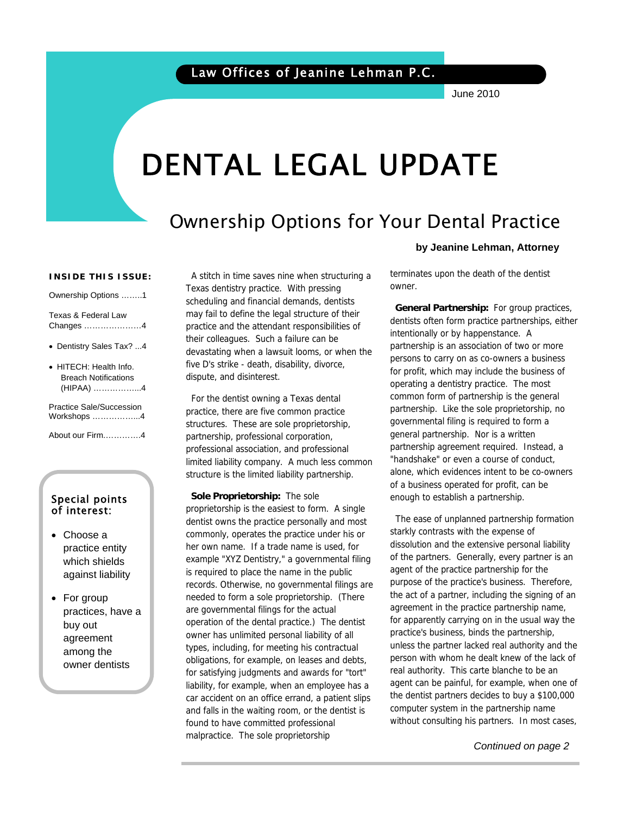June 2010

# DENTAL LEGAL UPDATE

# Ownership Options for Your Dental Practice

#### **INSIDE THIS ISSUE:**

Ownership Options ……..1 Texas & Federal Law

Changes …………………4

- Dentistry Sales Tax? ...4
- HITECH: Health Info. Breach Notifications (HIPAA) ……………...4

Practice Sale/Succession Workshops ……………...4

About our Firm.………….4

### Special points of interest:

- Choose a practice entity which shields against liability
- For group practices, have a buy out agreement among the owner dentists

 A stitch in time saves nine when structuring a Texas dentistry practice. With pressing scheduling and financial demands, dentists may fail to define the legal structure of their practice and the attendant responsibilities of their colleagues. Such a failure can be devastating when a lawsuit looms, or when the five D's strike - death, disability, divorce, dispute, and disinterest.

 For the dentist owning a Texas dental practice, there are five common practice structures. These are sole proprietorship, partnership, professional corporation, professional association, and professional limited liability company. A much less common structure is the limited liability partnership.

 **Sole Proprietorship:** The sole proprietorship is the easiest to form. A single dentist owns the practice personally and most commonly, operates the practice under his or her own name. If a trade name is used, for example "XYZ Dentistry," a governmental filing is required to place the name in the public records. Otherwise, no governmental filings are needed to form a sole proprietorship. (There are governmental filings for the actual operation of the dental practice.) The dentist owner has unlimited personal liability of all types, including, for meeting his contractual obligations, for example, on leases and debts, for satisfying judgments and awards for "tort" liability, for example, when an employee has a car accident on an office errand, a patient slips and falls in the waiting room, or the dentist is found to have committed professional malpractice. The sole proprietorship

#### **by Jeanine Lehman, Attorney**

terminates upon the death of the dentist owner.

 **General Partnership:** For group practices, dentists often form practice partnerships, either intentionally or by happenstance. A partnership is an association of two or more persons to carry on as co-owners a business for profit, which may include the business of operating a dentistry practice. The most common form of partnership is the general partnership. Like the sole proprietorship, no governmental filing is required to form a general partnership. Nor is a written partnership agreement required. Instead, a "handshake" or even a course of conduct, alone, which evidences intent to be co-owners of a business operated for profit, can be enough to establish a partnership.

 The ease of unplanned partnership formation starkly contrasts with the expense of dissolution and the extensive personal liability of the partners. Generally, every partner is an agent of the practice partnership for the purpose of the practice's business. Therefore, the act of a partner, including the signing of an agreement in the practice partnership name, for apparently carrying on in the usual way the practice's business, binds the partnership, unless the partner lacked real authority and the person with whom he dealt knew of the lack of real authority. This carte blanche to be an agent can be painful, for example, when one of the dentist partners decides to buy a \$100,000 computer system in the partnership name without consulting his partners. In most cases,

 *Continued on page 2*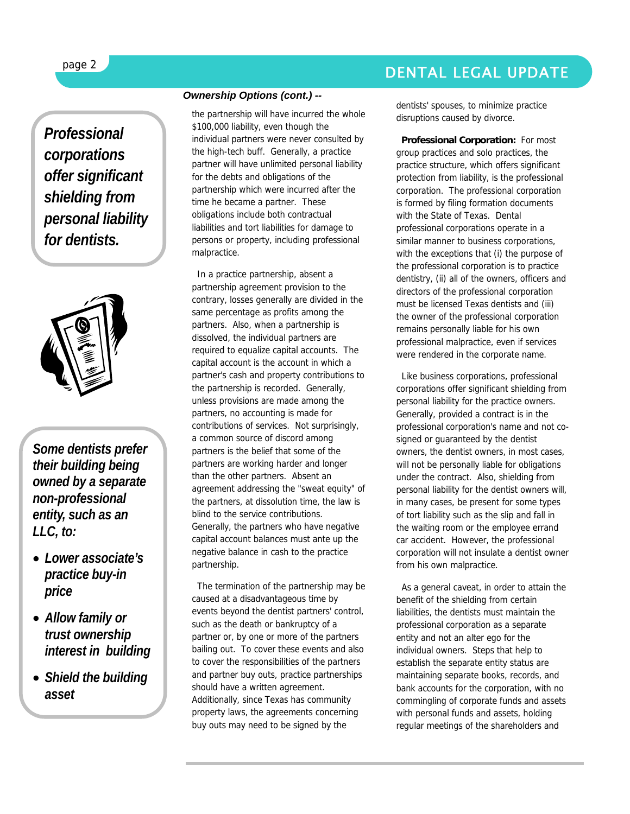### DENTAL LEGAL UPDATE

f

*Professional corporations offer significant shielding from personal liability for dentists.* 



*Some dentists prefer their building being owned by a separate non-professional entity, such as an LLC, to:* 

- *Lower associate's practice buy-in price*
- *Allow family or trust ownership interest in building*
- *Shield the building asset*

#### *Ownership Options (cont.) --*

the partnership will have incurred the whole \$100,000 liability, even though the individual partners were never consulted by the high-tech buff. Generally, a practice partner will have unlimited personal liability for the debts and obligations of the partnership which were incurred after the time he became a partner. These obligations include both contractual liabilities and tort liabilities for damage to persons or property, including professional malpractice.

 In a practice partnership, absent a partnership agreement provision to the contrary, losses generally are divided in the same percentage as profits among the partners. Also, when a partnership is dissolved, the individual partners are required to equalize capital accounts. The capital account is the account in which a partner's cash and property contributions to the partnership is recorded. Generally, unless provisions are made among the partners, no accounting is made for contributions of services. Not surprisingly, a common source of discord among partners is the belief that some of the partners are working harder and longer than the other partners. Absent an agreement addressing the "sweat equity" of the partners, at dissolution time, the law is blind to the service contributions. Generally, the partners who have negative capital account balances must ante up the negative balance in cash to the practice partnership.

 The termination of the partnership may be caused at a disadvantageous time by events beyond the dentist partners' control, such as the death or bankruptcy of a partner or, by one or more of the partners bailing out. To cover these events and also to cover the responsibilities of the partners and partner buy outs, practice partnerships should have a written agreement. Additionally, since Texas has community property laws, the agreements concerning buy outs may need to be signed by the

dentists' spouses, to minimize practice disruptions caused by divorce.

 **Professional Corporation:** For most group practices and solo practices, the practice structure, which offers significant protection from liability, is the professional corporation. The professional corporation is formed by filing formation documents with the State of Texas. Dental professional corporations operate in a similar manner to business corporations, with the exceptions that (i) the purpose of the professional corporation is to practice dentistry, (ii) all of the owners, officers and directors of the professional corporation must be licensed Texas dentists and (iii) the owner of the professional corporation remains personally liable for his own professional malpractice, even if services were rendered in the corporate name.

 Like business corporations, professional corporations offer significant shielding from personal liability for the practice owners. Generally, provided a contract is in the professional corporation's name and not cosigned or guaranteed by the dentist owners, the dentist owners, in most cases, will not be personally liable for obligations under the contract. Also, shielding from personal liability for the dentist owners will, in many cases, be present for some types of tort liability such as the slip and fall in the waiting room or the employee errand car accident. However, the professional corporation will not insulate a dentist owner from his own malpractice.

 As a general caveat, in order to attain the benefit of the shielding from certain liabilities, the dentists must maintain the professional corporation as a separate entity and not an alter ego for the individual owners. Steps that help to establish the separate entity status are maintaining separate books, records, and bank accounts for the corporation, with no commingling of corporate funds and assets with personal funds and assets, holding regular meetings of the shareholders and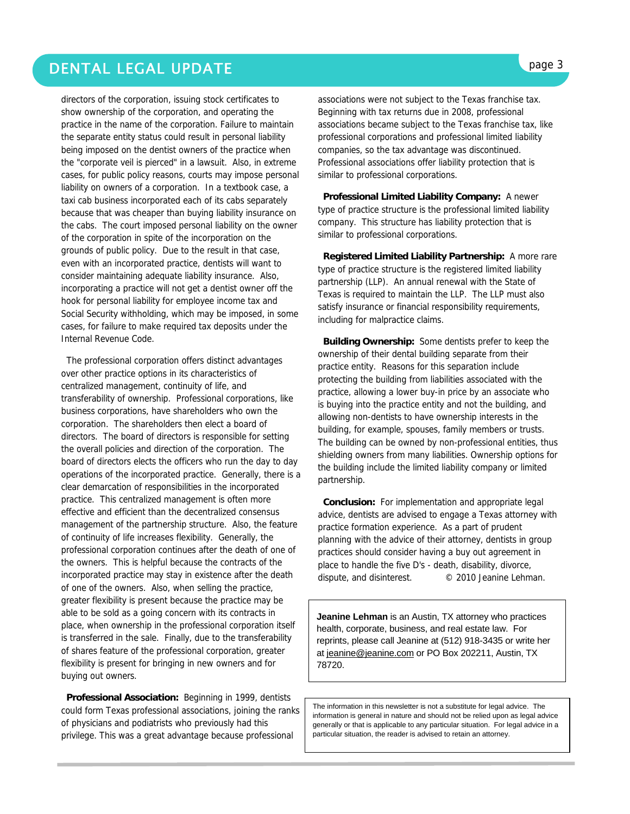### DENTAL LEGAL UPDATE **page 3**

directors of the corporation, issuing stock certificates to show ownership of the corporation, and operating the practice in the name of the corporation. Failure to maintain the separate entity status could result in personal liability being imposed on the dentist owners of the practice when the "corporate veil is pierced" in a lawsuit. Also, in extreme cases, for public policy reasons, courts may impose personal liability on owners of a corporation. In a textbook case, a taxi cab business incorporated each of its cabs separately because that was cheaper than buying liability insurance on the cabs. The court imposed personal liability on the owner of the corporation in spite of the incorporation on the grounds of public policy. Due to the result in that case, even with an incorporated practice, dentists will want to consider maintaining adequate liability insurance. Also, incorporating a practice will not get a dentist owner off the hook for personal liability for employee income tax and Social Security withholding, which may be imposed, in some cases, for failure to make required tax deposits under the Internal Revenue Code.

 The professional corporation offers distinct advantages over other practice options in its characteristics of centralized management, continuity of life, and transferability of ownership. Professional corporations, like business corporations, have shareholders who own the corporation. The shareholders then elect a board of directors. The board of directors is responsible for setting the overall policies and direction of the corporation. The board of directors elects the officers who run the day to day operations of the incorporated practice. Generally, there is a clear demarcation of responsibilities in the incorporated practice. This centralized management is often more effective and efficient than the decentralized consensus management of the partnership structure. Also, the feature of continuity of life increases flexibility. Generally, the professional corporation continues after the death of one of the owners. This is helpful because the contracts of the incorporated practice may stay in existence after the death of one of the owners. Also, when selling the practice, greater flexibility is present because the practice may be able to be sold as a going concern with its contracts in place, when ownership in the professional corporation itself is transferred in the sale. Finally, due to the transferability of shares feature of the professional corporation, greater flexibility is present for bringing in new owners and for buying out owners.

 **Professional Association:** Beginning in 1999, dentists could form Texas professional associations, joining the ranks of physicians and podiatrists who previously had this privilege. This was a great advantage because professional

associations were not subject to the Texas franchise tax. Beginning with tax returns due in 2008, professional associations became subject to the Texas franchise tax, like professional corporations and professional limited liability companies, so the tax advantage was discontinued. Professional associations offer liability protection that is similar to professional corporations.

 **Professional Limited Liability Company:** A newer type of practice structure is the professional limited liability company. This structure has liability protection that is similar to professional corporations.

 **Registered Limited Liability Partnership:** A more rare type of practice structure is the registered limited liability partnership (LLP). An annual renewal with the State of Texas is required to maintain the LLP. The LLP must also satisfy insurance or financial responsibility requirements, including for malpractice claims.

 **Building Ownership:** Some dentists prefer to keep the ownership of their dental building separate from their practice entity. Reasons for this separation include protecting the building from liabilities associated with the practice, allowing a lower buy-in price by an associate who is buying into the practice entity and not the building, and allowing non-dentists to have ownership interests in the building, for example, spouses, family members or trusts. The building can be owned by non-professional entities, thus shielding owners from many liabilities. Ownership options for the building include the limited liability company or limited partnership.

 **Conclusion:** For implementation and appropriate legal advice, dentists are advised to engage a Texas attorney with practice formation experience. As a part of prudent planning with the advice of their attorney, dentists in group practices should consider having a buy out agreement in place to handle the five D's - death, disability, divorce, dispute, and disinterest. © 2010 Jeanine Lehman.

**Jeanine Lehman** is an Austin, TX attorney who practices health, corporate, business, and real estate law. For reprints, please call Jeanine at (512) 918-3435 or write her at jeanine@jeanine.com or PO Box 202211, Austin, TX 78720.

The information in this newsletter is not a substitute for legal advice. The information is general in nature and should not be relied upon as legal advice generally or that is applicable to any particular situation. For legal advice in a particular situation, the reader is advised to retain an attorney.